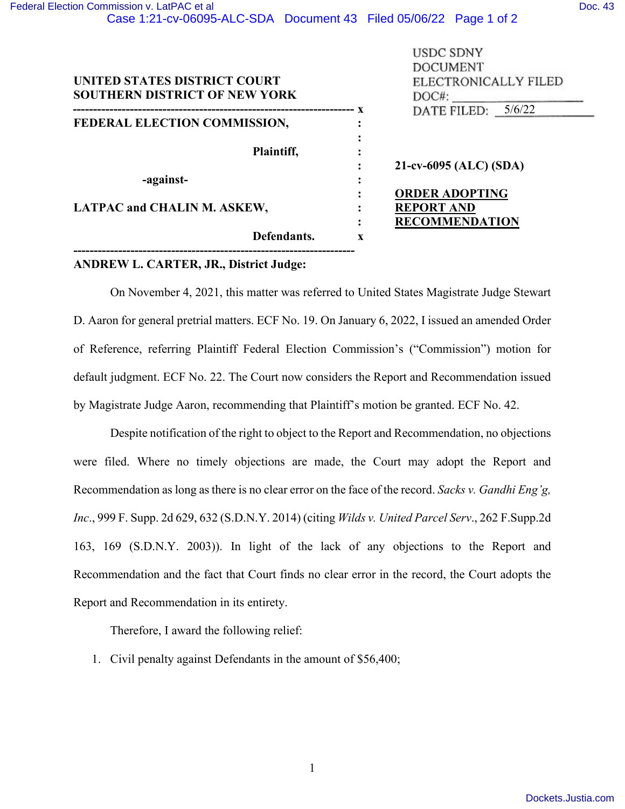|                                      |   | <b>USDC SDNY</b>       |
|--------------------------------------|---|------------------------|
|                                      |   | <b>DOCUMENT</b>        |
| UNITED STATES DISTRICT COURT         |   | ELECTRONICALLY FILED   |
| <b>SOUTHERN DISTRICT OF NEW YORK</b> |   | $DOC#$ :               |
|                                      |   | DATE FILED: 5/6/22     |
| FEDERAL ELECTION COMMISSION,         |   |                        |
|                                      |   |                        |
| Plaintiff,                           |   |                        |
|                                      |   | 21-cv-6095 (ALC) (SDA) |
| -against-                            |   |                        |
|                                      |   | <b>ORDER ADOPTING</b>  |
| <b>LATPAC and CHALIN M. ASKEW,</b>   |   | <b>REPORT AND</b>      |
|                                      |   | <b>RECOMMENDATION</b>  |
| Defendants.                          | X |                        |

## **ANDREW L. CARTER, JR., District Judge:**

**---------------------------------------------------------------------**

On November 4, 2021, this matter was referred to United States Magistrate Judge Stewart D. Aaron for general pretrial matters. ECF No. 19. On January 6, 2022, I issued an amended Order of Reference, referring Plaintiff Federal Election Commission's ("Commission") motion for default judgment. ECF No. 22. The Court now considers the Report and Recommendation issued by Magistrate Judge Aaron, recommending that Plaintiff's motion be granted. ECF No. 42.

Despite notification of the right to object to the Report and Recommendation, no objections were filed. Where no timely objections are made, the Court may adopt the Report and Recommendation as long as there is no clear error on the face of the record. *Sacks v. Gandhi Eng'g, Inc*., 999 F. Supp. 2d 629, 632 (S.D.N.Y. 2014) (citing *Wilds v. United Parcel Serv*., 262 F.Supp.2d 163, 169 (S.D.N.Y. 2003)). In light of the lack of any objections to the Report and Recommendation and the fact that Court finds no clear error in the record, the Court adopts the Report and Recommendation in its entirety.

Therefore, I award the following relief:

1. Civil penalty against Defendants in the amount of \$56,400;